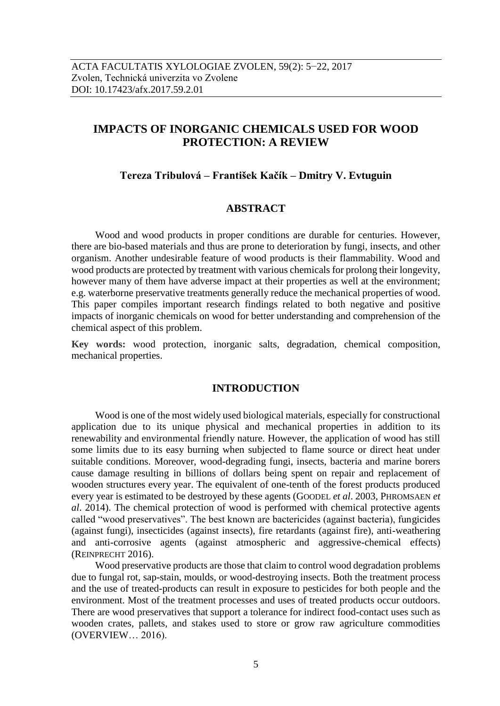# **IMPACTS OF INORGANIC CHEMICALS USED FOR WOOD PROTECTION: A REVIEW**

# **Tereza Tribulová – František Kačík – Dmitry V. Evtuguin**

# **ABSTRACT**

Wood and wood products in proper conditions are durable for centuries. However, there are bio-based materials and thus are prone to deterioration by fungi, insects, and other organism. Another undesirable feature of wood products is their flammability. Wood and wood products are protected by treatment with various chemicals for prolong their longevity, however many of them have adverse impact at their properties as well at the environment; e.g. waterborne preservative treatments generally reduce the mechanical properties of wood. This paper compiles important research findings related to both negative and positive impacts of inorganic chemicals on wood for better understanding and comprehension of the chemical aspect of this problem.

**Key words:** wood protection, inorganic salts, degradation, chemical composition, mechanical properties.

#### **INTRODUCTION**

Wood is one of the most widely used biological materials, especially for constructional application due to its unique physical and mechanical properties in addition to its renewability and environmental friendly nature. However, the application of wood has still some limits due to its easy burning when subjected to flame source or direct heat under suitable conditions. Moreover, wood-degrading fungi, insects, bacteria and marine borers cause damage resulting in billions of dollars being spent on repair and replacement of wooden structures every year. The equivalent of one-tenth of the forest products produced every year is estimated to be destroyed by these agents (GOODEL *et al*. 2003, PHROMSAEN *et al*. 2014). The chemical protection of wood is performed with chemical protective agents called "wood preservatives". The best known are bactericides (against bacteria), fungicides (against fungi), insecticides (against insects), fire retardants (against fire), anti-weathering and anti-corrosive agents (against atmospheric and aggressive-chemical effects) (REINPRECHT 2016).

Wood preservative products are those that claim to control wood degradation problems due to fungal rot, sap-stain, moulds, or wood-destroying insects. Both the treatment process and the use of treated-products can result in exposure to pesticides for both people and the environment. Most of the treatment processes and uses of treated products occur outdoors. There are wood preservatives that support a tolerance for indirect food-contact uses such as wooden crates, pallets, and stakes used to store or grow raw agriculture commodities (OVERVIEW… 2016).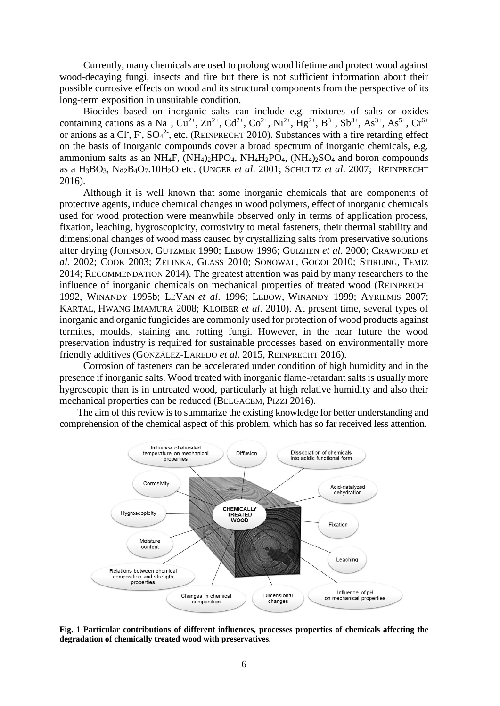Currently, many chemicals are used to prolong wood lifetime and protect wood against wood-decaying fungi, insects and fire but there is not sufficient information about their possible corrosive effects on wood and its structural components from the perspective of its long-term exposition in unsuitable condition.

Biocides based on inorganic salts can include e.g. mixtures of salts or oxides containing cations as a Na<sup>+</sup>, Cu<sup>2+</sup>, Zn<sup>2+</sup>, Cd<sup>2+</sup>, Co<sup>2+</sup>, Ni<sup>2+</sup>, Hg<sup>2+</sup>, B<sup>3+</sup>, Sb<sup>3+</sup>, As<sup>3+</sup>, As<sup>5+</sup>, Cr<sup>6+</sup> or anions as a Cl<sup>-</sup>, F<sup>-</sup>, SO<sub>4</sub><sup>2-</sup>, etc. (REINPRECHT 2010). Substances with a fire retarding effect on the basis of inorganic compounds cover a broad spectrum of inorganic chemicals, e.g. ammonium salts as an NH<sub>4</sub>F,  $(NH_4)_2HPO_4$ ,  $NH_4H_2PO_4$ ,  $(NH_4)_2SO_4$  and boron compounds as a H3BO3, Na2B4O7.10H2O etc. (UNGER *et al*. 2001; SCHULTZ *et al*. 2007; REINPRECHT 2016).

Although it is well known that some inorganic chemicals that are components of protective agents, induce chemical changes in wood polymers, effect of inorganic chemicals used for wood protection were meanwhile observed only in terms of application process, fixation, leaching, hygroscopicity, corrosivity to metal fasteners, their thermal stability and dimensional changes of wood mass caused by crystallizing salts from preservative solutions after drying (JOHNSON, GUTZMER 1990; LEBOW 1996; GUIZHEN *et al*. 2000; CRAWFORD *et al*. 2002; COOK 2003; ZELINKA, GLASS 2010; SONOWAL, GOGOI 2010; STIRLING, TEMIZ 2014; RECOMMENDATION 2014). The greatest attention was paid by many researchers to the influence of inorganic chemicals on mechanical properties of treated wood (REINPRECHT 1992, WINANDY 1995b; LEVAN *et al*. 1996; LEBOW, WINANDY 1999; AYRILMIS 2007; KARTAL, HWANG IMAMURA 2008; KLOIBER *et al*. 2010). At present time, several types of inorganic and organic fungicides are commonly used for protection of wood products against termites, moulds, staining and rotting fungi. However, in the near future the wood preservation industry is required for sustainable processes based on environmentally more friendly additives (GONZÁLEZ-LAREDO *et al*. 2015, REINPRECHT 2016).

Corrosion of fasteners can be accelerated under condition of high humidity and in the presence if inorganic salts. Wood treated with inorganic flame-retardant salts is usually more hygroscopic than is in untreated wood, particularly at high relative humidity and also their mechanical properties can be reduced (BELGACEM, PIZZI 2016).

The aim of this review is to summarize the existing knowledge for better understanding and comprehension of the chemical aspect of this problem, which has so far received less attention.



**Fig. 1 Particular contributions of different influences, processes properties of chemicals affecting the degradation of chemically treated wood with preservatives.**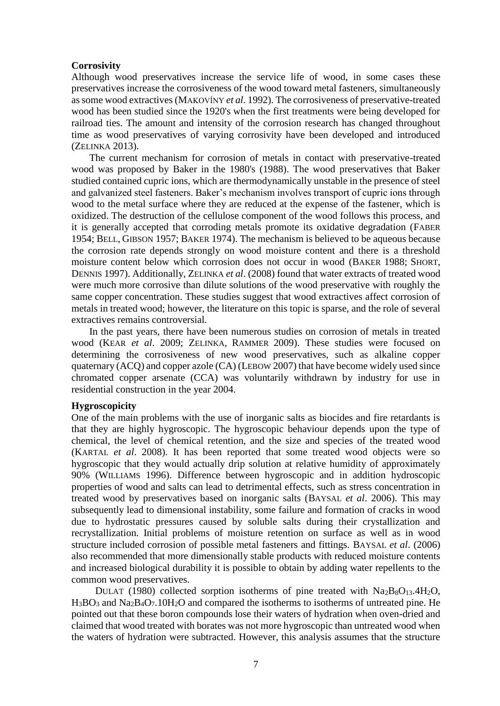#### **Corrosivity**

Although wood preservatives increase the service life of wood, in some cases these preservatives increase the corrosiveness of the wood toward metal fasteners, simultaneously as some wood extractives (MAKOVÍNY *et al*. 1992). The corrosiveness of preservative-treated wood has been studied since the 1920's when the first treatments were being developed for railroad ties. The amount and intensity of the corrosion research has changed throughout time as wood preservatives of varying corrosivity have been developed and introduced (ZELINKA 2013).

The current mechanism for corrosion of metals in contact with preservative-treated wood was proposed by Baker in the 1980's (1988). The wood preservatives that Baker studied contained cupric ions, which are thermodynamically unstable in the presence of steel and galvanized steel fasteners. Baker's mechanism involves transport of cupric ions through wood to the metal surface where they are reduced at the expense of the fastener, which is oxidized. The destruction of the cellulose component of the wood follows this process, and it is generally accepted that corroding metals promote its oxidative degradation (FABER 1954; BELL, GIBSON 1957; BAKER 1974). The mechanism is believed to be aqueous because the corrosion rate depends strongly on wood moisture content and there is a threshold moisture content below which corrosion does not occur in wood (BAKER 1988; SHORT, DENNIS 1997). Additionally, ZELINKA *et al*. (2008) found that water extracts of treated wood were much more corrosive than dilute solutions of the wood preservative with roughly the same copper concentration. These studies suggest that wood extractives affect corrosion of metals in treated wood; however, the literature on this topic is sparse, and the role of several extractives remains controversial.

In the past years, there have been numerous studies on corrosion of metals in treated wood (KEAR *et al*. 2009; ZELINKA, RAMMER 2009). These studies were focused on determining the corrosiveness of new wood preservatives, such as alkaline copper quaternary (ACQ) and copper azole (CA) (LEBOW 2007) that have become widely used since chromated copper arsenate (CCA) was voluntarily withdrawn by industry for use in residential construction in the year 2004.

# **Hygroscopicity**

One of the main problems with the use of inorganic salts as biocides and fire retardants is that they are highly hygroscopic. The hygroscopic behaviour depends upon the type of chemical, the level of chemical retention, and the size and species of the treated wood (KARTAL *et al*. 2008). It has been reported that some treated wood objects were so hygroscopic that they would actually drip solution at relative humidity of approximately 90% (WILLIAMS 1996). Difference between hygroscopic and in addition hydroscopic properties of wood and salts can lead to detrimental effects, such as stress concentration in treated wood by preservatives based on inorganic salts (BAYSAL *et al*. 2006). This may subsequently lead to dimensional instability, some failure and formation of cracks in wood due to hydrostatic pressures caused by soluble salts during their crystallization and recrystallization. Initial problems of moisture retention on surface as well as in wood structure included corrosion of possible metal fasteners and fittings. BAYSAL *et al*. (2006) also recommended that more dimensionally stable products with reduced moisture contents and increased biological durability it is possible to obtain by adding water repellents to the common wood preservatives.

DULAT (1980) collected sorption isotherms of pine treated with Na<sub>2</sub>B<sub>8</sub>O<sub>13</sub>.4H<sub>2</sub>O,  $H_3BO_3$  and  $Na_2B_4O_7.10H_2O$  and compared the isotherms to isotherms of untreated pine. He pointed out that these boron compounds lose their waters of hydration when oven-dried and claimed that wood treated with borates was not more hygroscopic than untreated wood when the waters of hydration were subtracted. However, this analysis assumes that the structure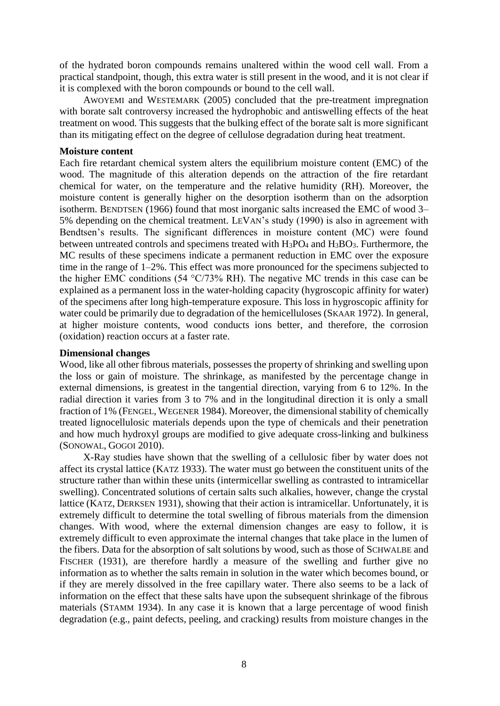of the hydrated boron compounds remains unaltered within the wood cell wall. From a practical standpoint, though, this extra water is still present in the wood, and it is not clear if it is complexed with the boron compounds or bound to the cell wall.

AWOYEMI and WESTEMARK (2005) concluded that the pre-treatment impregnation with borate salt controversy increased the hydrophobic and antiswelling effects of the heat treatment on wood. This suggests that the bulking effect of the borate salt is more significant than its mitigating effect on the degree of cellulose degradation during heat treatment.

#### **Moisture content**

Each fire retardant chemical system alters the equilibrium moisture content (EMC) of the wood. The magnitude of this alteration depends on the attraction of the fire retardant chemical for water, on the temperature and the relative humidity (RH). Moreover, the moisture content is generally higher on the desorption isotherm than on the adsorption isotherm. BENDTSEN (1966) found that most inorganic salts increased the EMC of wood 3– 5% depending on the chemical treatment. LEVAN's study (1990) is also in agreement with Bendtsen's results. The significant differences in moisture content (MC) were found between untreated controls and specimens treated with  $H_3PO_4$  and  $H_3BO_3$ . Furthermore, the MC results of these specimens indicate a permanent reduction in EMC over the exposure time in the range of 1–2%. This effect was more pronounced for the specimens subjected to the higher EMC conditions (54 °C/73% RH). The negative MC trends in this case can be explained as a permanent loss in the water-holding capacity (hygroscopic affinity for water) of the specimens after long high-temperature exposure. This loss in hygroscopic affinity for water could be primarily due to degradation of the hemicelluloses (SKAAR 1972). In general, at higher moisture contents, wood conducts ions better, and therefore, the corrosion (oxidation) reaction occurs at a faster rate.

## **Dimensional changes**

Wood, like all other fibrous materials, possesses the property of shrinking and swelling upon the loss or gain of moisture. The shrinkage, as manifested by the percentage change in external dimensions, is greatest in the tangential direction, varying from 6 to 12%. In the radial direction it varies from 3 to 7% and in the longitudinal direction it is only a small fraction of 1% (FENGEL, WEGENER 1984). Moreover, the dimensional stability of chemically treated lignocellulosic materials depends upon the type of chemicals and their penetration and how much hydroxyl groups are modified to give adequate cross-linking and bulkiness (SONOWAL, GOGOI 2010).

X-Ray studies have shown that the swelling of a cellulosic fiber by water does not affect its crystal lattice (KATZ 1933). The water must go between the constituent units of the structure rather than within these units (intermicellar swelling as contrasted to intramicellar swelling). Concentrated solutions of certain salts such alkalies, however, change the crystal lattice (KATZ, DERKSEN 1931), showing that their action is intramicellar. Unfortunately, it is extremely difficult to determine the total swelling of fibrous materials from the dimension changes. With wood, where the external dimension changes are easy to follow, it is extremely difficult to even approximate the internal changes that take place in the lumen of the fibers. Data for the absorption of salt solutions by wood, such as those of SCHWALBE and FISCHER (1931), are therefore hardly a measure of the swelling and further give no information as to whether the salts remain in solution in the water which becomes bound, or if they are merely dissolved in the free capillary water. There also seems to be a lack of information on the effect that these salts have upon the subsequent shrinkage of the fibrous materials (STAMM 1934). In any case it is known that a large percentage of wood finish degradation (e.g., paint defects, peeling, and cracking) results from moisture changes in the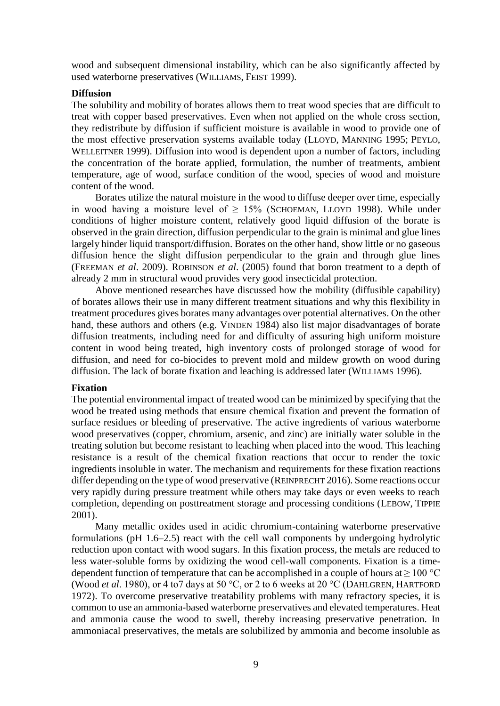wood and subsequent dimensional instability, which can be also significantly affected by used waterborne preservatives (WILLIAMS, FEIST 1999).

#### **Diffusion**

The solubility and mobility of borates allows them to treat wood species that are difficult to treat with copper based preservatives. Even when not applied on the whole cross section, they redistribute by diffusion if sufficient moisture is available in wood to provide one of the most effective preservation systems available today (LLOYD, MANNING 1995; PEYLO, WELLEITNER 1999). Diffusion into wood is dependent upon a number of factors, including the concentration of the borate applied, formulation, the number of treatments, ambient temperature, age of wood, surface condition of the wood, species of wood and moisture content of the wood.

Borates utilize the natural moisture in the wood to diffuse deeper over time, especially in wood having a moisture level of  $> 15\%$  (SCHOEMAN, LLOYD 1998). While under conditions of higher moisture content, relatively good liquid diffusion of the borate is observed in the grain direction, diffusion perpendicular to the grain is minimal and glue lines largely hinder liquid transport/diffusion. Borates on the other hand, show little or no gaseous diffusion hence the slight diffusion perpendicular to the grain and through glue lines (FREEMAN *et al*. 2009). ROBINSON *et al*. (2005) found that boron treatment to a depth of already 2 mm in structural wood provides very good insecticidal protection.

Above mentioned researches have discussed how the mobility (diffusible capability) of borates allows their use in many different treatment situations and why this flexibility in treatment procedures gives borates many advantages over potential alternatives. On the other hand, these authors and others (e.g. VINDEN 1984) also list major disadvantages of borate diffusion treatments, including need for and difficulty of assuring high uniform moisture content in wood being treated, high inventory costs of prolonged storage of wood for diffusion, and need for co-biocides to prevent mold and mildew growth on wood during diffusion. The lack of borate fixation and leaching is addressed later (WILLIAMS 1996).

#### **Fixation**

The potential environmental impact of treated wood can be minimized by specifying that the wood be treated using methods that ensure chemical fixation and prevent the formation of surface residues or bleeding of preservative. The active ingredients of various waterborne wood preservatives (copper, chromium, arsenic, and zinc) are initially water soluble in the treating solution but become resistant to leaching when placed into the wood. This leaching resistance is a result of the chemical fixation reactions that occur to render the toxic ingredients insoluble in water. The mechanism and requirements for these fixation reactions differ depending on the type of wood preservative (REINPRECHT 2016). Some reactions occur very rapidly during pressure treatment while others may take days or even weeks to reach completion, depending on posttreatment storage and processing conditions (LEBOW, TIPPIE 2001).

Many metallic oxides used in acidic chromium-containing waterborne preservative formulations (pH 1.6–2.5) react with the cell wall components by undergoing hydrolytic reduction upon contact with wood sugars. In this fixation process, the metals are reduced to less water-soluble forms by oxidizing the wood cell-wall components. Fixation is a timedependent function of temperature that can be accomplished in a couple of hours at  $\geq 100$  °C (Wood *et al*. 1980), or 4 to7 days at 50 °C, or 2 to 6 weeks at 20 °C (DAHLGREN, HARTFORD 1972). To overcome preservative treatability problems with many refractory species, it is common to use an ammonia-based waterborne preservatives and elevated temperatures. Heat and ammonia cause the wood to swell, thereby increasing preservative penetration. In ammoniacal preservatives, the metals are solubilized by ammonia and become insoluble as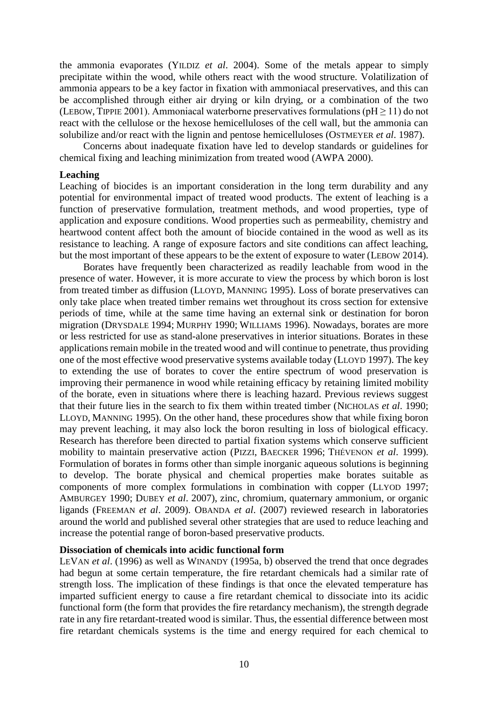the ammonia evaporates (YILDIZ *et al*. 2004). Some of the metals appear to simply precipitate within the wood, while others react with the wood structure. Volatilization of ammonia appears to be a key factor in fixation with ammoniacal preservatives, and this can be accomplished through either air drying or kiln drying, or a combination of the two (LEBOW, TIPPIE 2001). Ammoniacal waterborne preservatives formulations ( $pH \ge 11$ ) do not react with the cellulose or the hexose hemicelluloses of the cell wall, but the ammonia can solubilize and/or react with the lignin and pentose hemicelluloses (OSTMEYER *et al*. 1987).

Concerns about inadequate fixation have led to develop standards or guidelines for chemical fixing and leaching minimization from treated wood (AWPA 2000).

#### **Leaching**

Leaching of biocides is an important consideration in the long term durability and any potential for environmental impact of treated wood products. The extent of leaching is a function of preservative formulation, treatment methods, and wood properties, type of application and exposure conditions. Wood properties such as permeability, chemistry and heartwood content affect both the amount of biocide contained in the wood as well as its resistance to leaching. A range of exposure factors and site conditions can affect leaching, but the most important of these appears to be the extent of exposure to water (LEBOW 2014).

Borates have frequently been characterized as readily leachable from wood in the presence of water. However, it is more accurate to view the process by which boron is lost from treated timber as diffusion (LLOYD, MANNING 1995). Loss of borate preservatives can only take place when treated timber remains wet throughout its cross section for extensive periods of time, while at the same time having an external sink or destination for boron migration (DRYSDALE 1994; MURPHY 1990; WILLIAMS 1996). Nowadays, borates are more or less restricted for use as stand-alone preservatives in interior situations. Borates in these applications remain mobile in the treated wood and will continue to penetrate, thus providing one of the most effective wood preservative systems available today (LLOYD 1997). The key to extending the use of borates to cover the entire spectrum of wood preservation is improving their permanence in wood while retaining efficacy by retaining limited mobility of the borate, even in situations where there is leaching hazard. Previous reviews suggest that their future lies in the search to fix them within treated timber (NICHOLAS *et al*. 1990; LLOYD, MANNING 1995). On the other hand, these procedures show that while fixing boron may prevent leaching, it may also lock the boron resulting in loss of biological efficacy. Research has therefore been directed to partial fixation systems which conserve sufficient mobility to maintain preservative action (PIZZI, BAECKER 1996; THÉVENON *et al*. 1999). Formulation of borates in forms other than simple inorganic aqueous solutions is beginning to develop. The borate physical and chemical properties make borates suitable as components of more complex formulations in combination with copper (LLYOD 1997; AMBURGEY 1990; DUBEY *et al*. 2007), zinc, chromium, quaternary ammonium, or organic ligands (FREEMAN *et al*. 2009). OBANDA *et al*. (2007) reviewed research in laboratories around the world and published several other strategies that are used to reduce leaching and increase the potential range of boron-based preservative products.

### **Dissociation of chemicals into acidic functional form**

LEVAN *et al*. (1996) as well as WINANDY (1995a, b) observed the trend that once degrades had begun at some certain temperature, the fire retardant chemicals had a similar rate of strength loss. The implication of these findings is that once the elevated temperature has imparted sufficient energy to cause a fire retardant chemical to dissociate into its acidic functional form (the form that provides the fire retardancy mechanism), the strength degrade rate in any fire retardant-treated wood is similar. Thus, the essential difference between most fire retardant chemicals systems is the time and energy required for each chemical to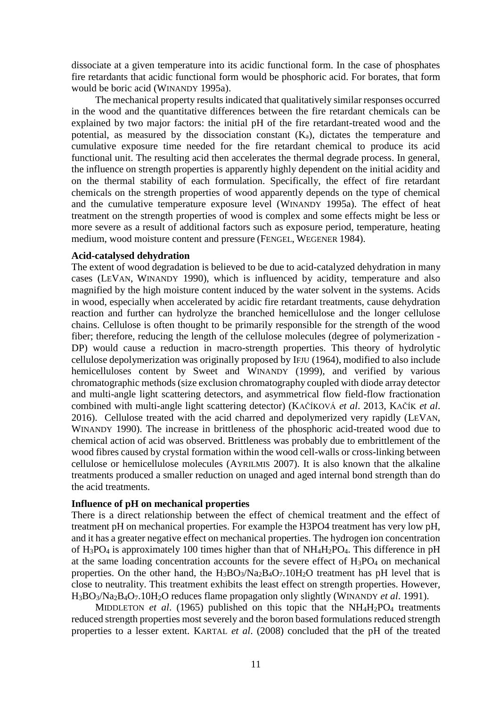dissociate at a given temperature into its acidic functional form. In the case of phosphates fire retardants that acidic functional form would be phosphoric acid. For borates, that form would be boric acid (WINANDY 1995a).

The mechanical property results indicated that qualitatively similar responses occurred in the wood and the quantitative differences between the fire retardant chemicals can be explained by two major factors: the initial pH of the fire retardant-treated wood and the potential, as measured by the dissociation constant  $(K_a)$ , dictates the temperature and cumulative exposure time needed for the fire retardant chemical to produce its acid functional unit. The resulting acid then accelerates the thermal degrade process. In general, the influence on strength properties is apparently highly dependent on the initial acidity and on the thermal stability of each formulation. Specifically, the effect of fire retardant chemicals on the strength properties of wood apparently depends on the type of chemical and the cumulative temperature exposure level (WINANDY 1995a). The effect of heat treatment on the strength properties of wood is complex and some effects might be less or more severe as a result of additional factors such as exposure period, temperature, heating medium, wood moisture content and pressure (FENGEL, WEGENER 1984).

## **Acid-catalysed dehydration**

The extent of wood degradation is believed to be due to acid-catalyzed dehydration in many cases (LEVAN, WINANDY 1990), which is influenced by acidity, temperature and also magnified by the high moisture content induced by the water solvent in the systems. Acids in wood, especially when accelerated by acidic fire retardant treatments, cause dehydration reaction and further can hydrolyze the branched hemicellulose and the longer cellulose chains. Cellulose is often thought to be primarily responsible for the strength of the wood fiber; therefore, reducing the length of the cellulose molecules (degree of polymerization - DP) would cause a reduction in macro-strength properties. This theory of hydrolytic cellulose depolymerization was originally proposed by IFJU (1964), modified to also include hemicelluloses content by Sweet and WINANDY (1999), and verified by various chromatographic methods (size exclusion chromatography coupled with diode array detector and multi-angle light scattering detectors, and asymmetrical flow field-flow fractionation combined with multi-angle light scattering detector) (KAČÍKOVÁ *et al*. 2013, KAČÍK *et al*. 2016). Cellulose treated with the acid charred and depolymerized very rapidly (LEVAN, WINANDY 1990). The increase in brittleness of the phosphoric acid-treated wood due to chemical action of acid was observed. Brittleness was probably due to embrittlement of the wood fibres caused by crystal formation within the wood cell-walls or cross-linking between cellulose or hemicellulose molecules (AYRILMIS 2007). It is also known that the alkaline treatments produced a smaller reduction on unaged and aged internal bond strength than do the acid treatments.

# **Influence of pH on mechanical properties**

There is a direct relationship between the effect of chemical treatment and the effect of treatment pH on mechanical properties. For example the H3PO4 treatment has very low pH, and it has a greater negative effect on mechanical properties. The hydrogen ion concentration of  $H_3PO_4$  is approximately 100 times higher than that of  $NH_4H_2PO_4$ . This difference in pH at the same loading concentration accounts for the severe effect of  $H_3PO_4$  on mechanical properties. On the other hand, the  $H_3BO_3/Na_2B_4O_7.10H_2O$  treatment has pH level that is close to neutrality. This treatment exhibits the least effect on strength properties. However, H3BO3/Na2B4O7.10H2O reduces flame propagation only slightly (WINANDY *et al*. 1991).

MIDDLETON *et al.* (1965) published on this topic that the NH<sub>4</sub>H<sub>2</sub>PO<sub>4</sub> treatments reduced strength properties most severely and the boron based formulations reduced strength properties to a lesser extent. KARTAL *et al*. (2008) concluded that the pH of the treated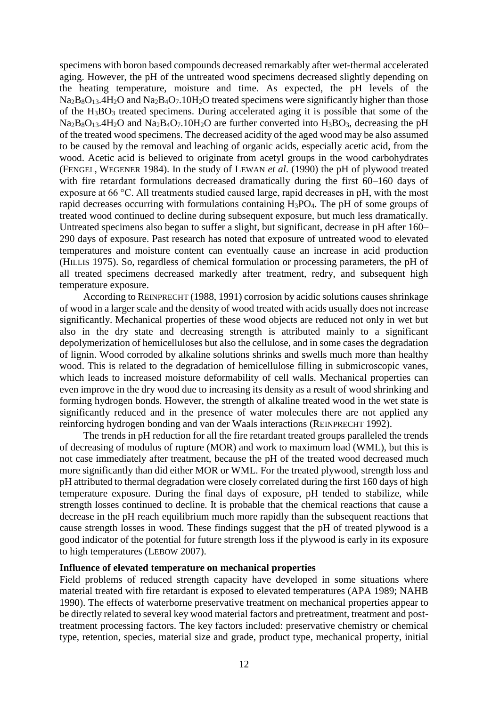specimens with boron based compounds decreased remarkably after wet-thermal accelerated aging. However, the pH of the untreated wood specimens decreased slightly depending on the heating temperature, moisture and time. As expected, the pH levels of the  $Na<sub>2</sub>B<sub>8</sub>O<sub>13</sub>$ .4H<sub>2</sub>O and Na<sub>2</sub>B<sub>4</sub>O<sub>7</sub>.10H<sub>2</sub>O treated specimens were significantly higher than those of the H3BO<sup>3</sup> treated specimens. During accelerated aging it is possible that some of the  $Na<sub>2</sub>B<sub>8</sub>O<sub>13</sub>$ .4H<sub>2</sub>O and Na<sub>2</sub>B<sub>4</sub>O<sub>7</sub>.10H<sub>2</sub>O are further converted into H<sub>3</sub>BO<sub>3</sub>, decreasing the pH of the treated wood specimens. The decreased acidity of the aged wood may be also assumed to be caused by the removal and leaching of organic acids, especially acetic acid, from the wood. Acetic acid is believed to originate from acetyl groups in the wood carbohydrates (FENGEL, WEGENER 1984). In the study of LEWAN *et al*. (1990) the pH of plywood treated with fire retardant formulations decreased dramatically during the first 60–160 days of exposure at 66 °C. All treatments studied caused large, rapid decreases in pH, with the most rapid decreases occurring with formulations containing H3PO4. The pH of some groups of treated wood continued to decline during subsequent exposure, but much less dramatically. Untreated specimens also began to suffer a slight, but significant, decrease in pH after 160– 290 days of exposure. Past research has noted that exposure of untreated wood to elevated temperatures and moisture content can eventually cause an increase in acid production (HILLIS 1975). So, regardless of chemical formulation or processing parameters, the pH of all treated specimens decreased markedly after treatment, redry, and subsequent high temperature exposure.

According to REINPRECHT (1988, 1991) corrosion by acidic solutions causes shrinkage of wood in a larger scale and the density of wood treated with acids usually does not increase significantly. Mechanical properties of these wood objects are reduced not only in wet but also in the dry state and decreasing strength is attributed mainly to a significant depolymerization of hemicelluloses but also the cellulose, and in some cases the degradation of lignin. Wood corroded by alkaline solutions shrinks and swells much more than healthy wood. This is related to the degradation of hemicellulose filling in submicroscopic vanes, which leads to increased moisture deformability of cell walls. Mechanical properties can even improve in the dry wood due to increasing its density as a result of wood shrinking and forming hydrogen bonds. However, the strength of alkaline treated wood in the wet state is significantly reduced and in the presence of water molecules there are not applied any reinforcing hydrogen bonding and van der Waals interactions (REINPRECHT 1992).

The trends in pH reduction for all the fire retardant treated groups paralleled the trends of decreasing of modulus of rupture (MOR) and work to maximum load (WML), but this is not case immediately after treatment, because the pH of the treated wood decreased much more significantly than did either MOR or WML. For the treated plywood, strength loss and pH attributed to thermal degradation were closely correlated during the first 160 days of high temperature exposure. During the final days of exposure, pH tended to stabilize, while strength losses continued to decline. It is probable that the chemical reactions that cause a decrease in the pH reach equilibrium much more rapidly than the subsequent reactions that cause strength losses in wood. These findings suggest that the pH of treated plywood is a good indicator of the potential for future strength loss if the plywood is early in its exposure to high temperatures (LEBOW 2007).

## **Influence of elevated temperature on mechanical properties**

Field problems of reduced strength capacity have developed in some situations where material treated with fire retardant is exposed to elevated temperatures (APA 1989; NAHB 1990). The effects of waterborne preservative treatment on mechanical properties appear to be directly related to several key wood material factors and pretreatment, treatment and posttreatment processing factors. The key factors included: preservative chemistry or chemical type, retention, species, material size and grade, product type, mechanical property, initial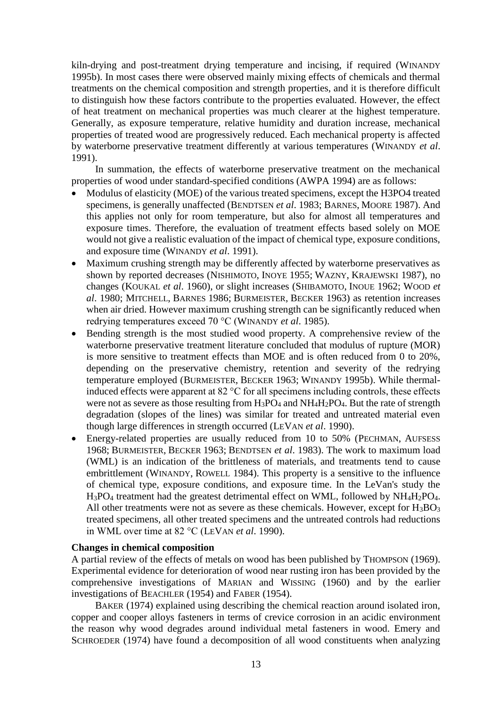kiln-drying and post-treatment drying temperature and incising, if required (WINANDY 1995b). In most cases there were observed mainly mixing effects of chemicals and thermal treatments on the chemical composition and strength properties, and it is therefore difficult to distinguish how these factors contribute to the properties evaluated. However, the effect of heat treatment on mechanical properties was much clearer at the highest temperature. Generally, as exposure temperature, relative humidity and duration increase, mechanical properties of treated wood are progressively reduced. Each mechanical property is affected by waterborne preservative treatment differently at various temperatures (WINANDY *et al*. 1991).

In summation, the effects of waterborne preservative treatment on the mechanical properties of wood under standard-specified conditions (AWPA 1994) are as follows:

- Modulus of elasticity (MOE) of the various treated specimens, except the H3PO4 treated specimens, is generally unaffected (BENDTSEN *et al*. 1983; BARNES, MOORE 1987). And this applies not only for room temperature, but also for almost all temperatures and exposure times. Therefore, the evaluation of treatment effects based solely on MOE would not give a realistic evaluation of the impact of chemical type, exposure conditions, and exposure time (WINANDY *et al*. 1991).
- Maximum crushing strength may be differently affected by waterborne preservatives as shown by reported decreases (NISHIMOTO, INOYE 1955; WAZNY, KRAJEWSKI 1987), no changes (KOUKAL *et al*. 1960), or slight increases (SHIBAMOTO, INOUE 1962; WOOD *et al*. 1980; MITCHELL, BARNES 1986; BURMEISTER, BECKER 1963) as retention increases when air dried. However maximum crushing strength can be significantly reduced when redrying temperatures exceed 70 °C (WINANDY *et al*. 1985).
- Bending strength is the most studied wood property. A comprehensive review of the waterborne preservative treatment literature concluded that modulus of rupture (MOR) is more sensitive to treatment effects than MOE and is often reduced from 0 to 20%, depending on the preservative chemistry, retention and severity of the redrying temperature employed (BURMEISTER, BECKER 1963; WINANDY 1995b). While thermalinduced effects were apparent at 82 °C for all specimens including controls, these effects were not as severe as those resulting from  $H_3PO_4$  and  $NH_4H_2PO_4$ . But the rate of strength degradation (slopes of the lines) was similar for treated and untreated material even though large differences in strength occurred (LEVAN *et al*. 1990).
- Energy-related properties are usually reduced from 10 to 50% (PECHMAN, AUFSESS 1968; BURMEISTER, BECKER 1963; BENDTSEN *et al*. 1983). The work to maximum load (WML) is an indication of the brittleness of materials, and treatments tend to cause embrittlement (WINANDY, ROWELL 1984). This property is a sensitive to the influence of chemical type, exposure conditions, and exposure time. In the LeVan's study the  $H_3PO_4$  treatment had the greatest detrimental effect on WML, followed by  $NH_4H_2PO_4$ . All other treatments were not as severe as these chemicals. However, except for  $H_3BO_3$ treated specimens, all other treated specimens and the untreated controls had reductions in WML over time at 82 °C (LEVAN *et al*. 1990).

## **Changes in chemical composition**

A partial review of the effects of metals on wood has been published by THOMPSON (1969). Experimental evidence for deterioration of wood near rusting iron has been provided by the comprehensive investigations of MARIAN and WISSING (1960) and by the earlier investigations of BEACHLER (1954) and FABER (1954).

BAKER (1974) explained using describing the chemical reaction around isolated iron, copper and cooper alloys fasteners in terms of crevice corrosion in an acidic environment the reason why wood degrades around individual metal fasteners in wood. Emery and SCHROEDER (1974) have found a decomposition of all wood constituents when analyzing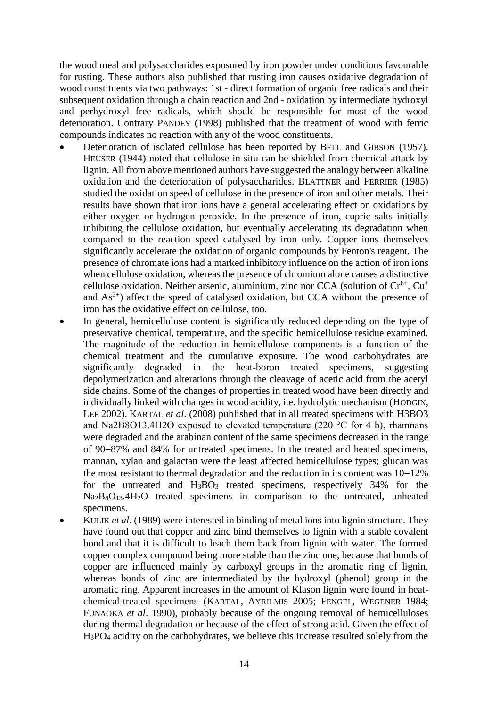the wood meal and polysaccharides exposured by iron powder under conditions favourable for rusting. These authors also published that rusting iron causes oxidative degradation of wood constituents via two pathways: 1st - direct formation of organic free radicals and their subsequent oxidation through a chain reaction and 2nd - oxidation by intermediate hydroxyl and perhydroxyl free radicals, which should be responsible for most of the wood deterioration. Contrary PANDEY (1998) published that the treatment of wood with ferric compounds indicates no reaction with any of the wood constituents.

- Deterioration of isolated cellulose has been reported by BELL and GIBSON (1957). HEUSER (1944) noted that cellulose in situ can be shielded from chemical attack by lignin. All from above mentioned authors have suggested the analogy between alkaline oxidation and the deterioration of polysaccharides. BLATTNER and FERRIER (1985) studied the oxidation speed of cellulose in the presence of iron and other metals. Their results have shown that iron ions have a general accelerating effect on oxidations by either oxygen or hydrogen peroxide. In the presence of iron, cupric salts initially inhibiting the cellulose oxidation, but eventually accelerating its degradation when compared to the reaction speed catalysed by iron only. Copper ions themselves significantly accelerate the oxidation of organic compounds by Fenton's reagent. The presence of chromate ions had a marked inhibitory influence on the action of iron ions when cellulose oxidation, whereas the presence of chromium alone causes a distinctive cellulose oxidation. Neither arsenic, aluminium, zinc nor CCA (solution of  $Cr^{6+}$ ,  $Cu^{+}$ and  $As<sup>3+</sup>$ ) affect the speed of catalysed oxidation, but CCA without the presence of iron has the oxidative effect on cellulose, too.
- In general, hemicellulose content is significantly reduced depending on the type of preservative chemical, temperature, and the specific hemicellulose residue examined. The magnitude of the reduction in hemicellulose components is a function of the chemical treatment and the cumulative exposure. The wood carbohydrates are significantly degraded in the heat-boron treated specimens, suggesting depolymerization and alterations through the cleavage of acetic acid from the acetyl side chains. Some of the changes of properties in treated wood have been directly and individually linked with changes in wood acidity, i.e. hydrolytic mechanism (HODGIN, LEE 2002). KARTAL *et al*. (2008) published that in all treated specimens with H3BO3 and Na2B8O13.4H2O exposed to elevated temperature (220  $\degree$ C for 4 h), rhamnans were degraded and the arabinan content of the same specimens decreased in the range of 90-87% and 84% for untreated specimens. In the treated and heated specimens, mannan, xylan and galactan were the least affected hemicellulose types; glucan was the most resistant to thermal degradation and the reduction in its content was  $10-12\%$ for the untreated and  $H_3BO_3$  treated specimens, respectively 34% for the Na2B8O13.4H2O treated specimens in comparison to the untreated, unheated specimens.
- KULIK *et al*. (1989) were interested in binding of metal ions into lignin structure. They have found out that copper and zinc bind themselves to lignin with a stable covalent bond and that it is difficult to leach them back from lignin with water. The formed copper complex compound being more stable than the zinc one, because that bonds of copper are influenced mainly by carboxyl groups in the aromatic ring of lignin, whereas bonds of zinc are intermediated by the hydroxyl (phenol) group in the aromatic ring. Apparent increases in the amount of Klason lignin were found in heatchemical-treated specimens (KARTAL, AYRILMIS 2005; FENGEL, WEGENER 1984; FUNAOKA *et al*. 1990), probably because of the ongoing removal of hemicelluloses during thermal degradation or because of the effect of strong acid. Given the effect of H3PO<sup>4</sup> acidity on the carbohydrates, we believe this increase resulted solely from the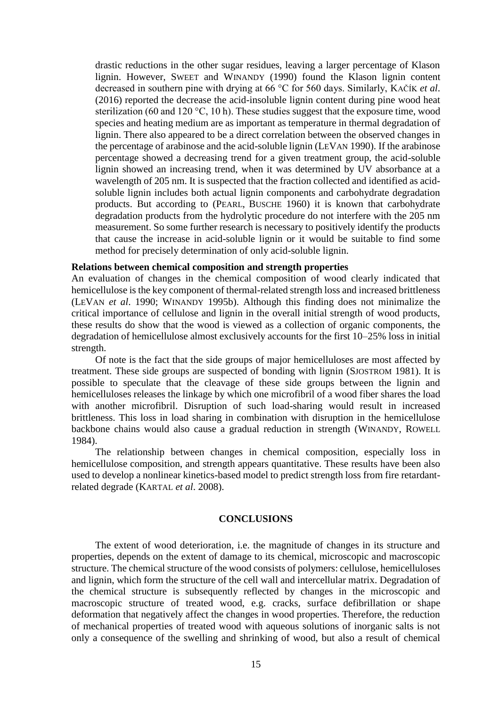drastic reductions in the other sugar residues, leaving a larger percentage of Klason lignin. However, SWEET and WINANDY (1990) found the Klason lignin content decreased in southern pine with drying at 66 °C for 560 days. Similarly, KAČÍK *et al*. (2016) reported the decrease the acid-insoluble lignin content during pine wood heat sterilization (60 and 120 °C, 10 h). These studies suggest that the exposure time, wood species and heating medium are as important as temperature in thermal degradation of lignin. There also appeared to be a direct correlation between the observed changes in the percentage of arabinose and the acid-soluble lignin (LEVAN 1990). If the arabinose percentage showed a decreasing trend for a given treatment group, the acid-soluble lignin showed an increasing trend, when it was determined by UV absorbance at a wavelength of 205 nm. It is suspected that the fraction collected and identified as acidsoluble lignin includes both actual lignin components and carbohydrate degradation products. But according to (PEARL, BUSCHE 1960) it is known that carbohydrate degradation products from the hydrolytic procedure do not interfere with the 205 nm measurement. So some further research is necessary to positively identify the products that cause the increase in acid-soluble lignin or it would be suitable to find some method for precisely determination of only acid-soluble lignin.

#### **Relations between chemical composition and strength properties**

An evaluation of changes in the chemical composition of wood clearly indicated that hemicellulose is the key component of thermal-related strength loss and increased brittleness (LEVAN *et al*. 1990; WINANDY 1995b). Although this finding does not minimalize the critical importance of cellulose and lignin in the overall initial strength of wood products, these results do show that the wood is viewed as a collection of organic components, the degradation of hemicellulose almost exclusively accounts for the first 10–25% loss in initial strength.

Of note is the fact that the side groups of major hemicelluloses are most affected by treatment. These side groups are suspected of bonding with lignin (SJOSTROM 1981). It is possible to speculate that the cleavage of these side groups between the lignin and hemicelluloses releases the linkage by which one microfibril of a wood fiber shares the load with another microfibril. Disruption of such load-sharing would result in increased brittleness. This loss in load sharing in combination with disruption in the hemicellulose backbone chains would also cause a gradual reduction in strength (WINANDY, ROWELL 1984).

The relationship between changes in chemical composition, especially loss in hemicellulose composition, and strength appears quantitative. These results have been also used to develop a nonlinear kinetics-based model to predict strength loss from fire retardantrelated degrade (KARTAL *et al*. 2008).

## **CONCLUSIONS**

The extent of wood deterioration, i.e. the magnitude of changes in its structure and properties, depends on the extent of damage to its chemical, microscopic and macroscopic structure. The chemical structure of the wood consists of polymers: cellulose, hemicelluloses and lignin, which form the structure of the cell wall and intercellular matrix. Degradation of the chemical structure is subsequently reflected by changes in the microscopic and macroscopic structure of treated wood, e.g. cracks, surface defibrillation or shape deformation that negatively affect the changes in wood properties. Therefore, the reduction of mechanical properties of treated wood with aqueous solutions of inorganic salts is not only a consequence of the swelling and shrinking of wood, but also a result of chemical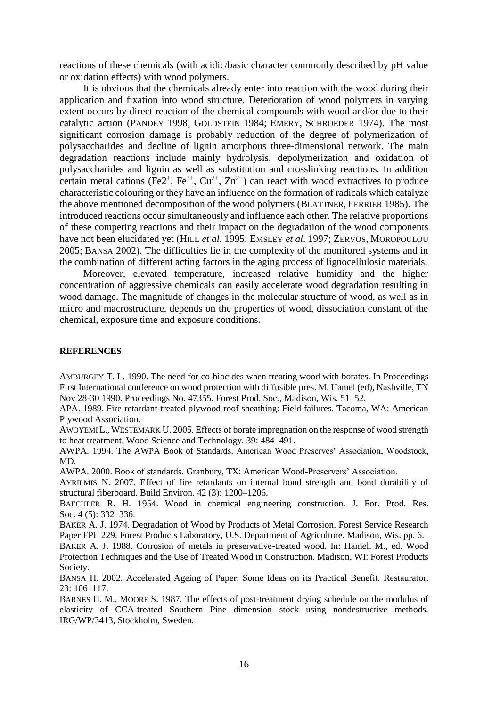reactions of these chemicals (with acidic/basic character commonly described by pH value or oxidation effects) with wood polymers.

It is obvious that the chemicals already enter into reaction with the wood during their application and fixation into wood structure. Deterioration of wood polymers in varying extent occurs by direct reaction of the chemical compounds with wood and/or due to their catalytic action (PANDEY 1998; GOLDSTEIN 1984; EMERY, SCHROEDER 1974). The most significant corrosion damage is probably reduction of the degree of polymerization of polysaccharides and decline of lignin amorphous three-dimensional network. The main degradation reactions include mainly hydrolysis, depolymerization and oxidation of polysaccharides and lignin as well as substitution and crosslinking reactions. In addition certain metal cations (Fe2<sup>+</sup>, Fe<sup>3+</sup>, Cu<sup>2+</sup>, Zn<sup>2+</sup>) can react with wood extractives to produce characteristic colouring or they have an influence on the formation of radicals which catalyze the above mentioned decomposition of the wood polymers (BLATTNER, FERRIER 1985). The introduced reactions occur simultaneously and influence each other. The relative proportions of these competing reactions and their impact on the degradation of the wood components have not been elucidated yet (HILL *et al*. 1995; EMSLEY *et al*. 1997; ZERVOS, MOROPOULOU 2005; BANSA 2002). The difficulties lie in the complexity of the monitored systems and in the combination of different acting factors in the aging process of lignocellulosic materials.

Moreover, elevated temperature, increased relative humidity and the higher concentration of aggressive chemicals can easily accelerate wood degradation resulting in wood damage. The magnitude of changes in the molecular structure of wood, as well as in micro and macrostructure, depends on the properties of wood, dissociation constant of the chemical, exposure time and exposure conditions.

#### **REFERENCES**

AMBURGEY T. L. 1990. The need for co-biocides when treating wood with borates. In Proceedings First International conference on wood protection with diffusible pres. M. Hamel (ed), Nashville, TN Nov 28-30 1990. Proceedings No. 47355. Forest Prod. Soc., Madison, Wis. 51–52.

APA. 1989. Fire-retardant-treated plywood roof sheathing: Field failures. Tacoma, WA: American Plywood Association.

AWOYEMI L., WESTEMARK U. 2005. Effects of borate impregnation on the response of wood strength to heat treatment. Wood Science and Technology. 39: 484–491.

AWPA. 1994. The AWPA Book of Standards. American Wood Preserves' Association, Woodstock, MD.

AWPA. 2000. Book of standards. Granbury, TX: American Wood-Preservers' Association.

AYRILMIS N. 2007. Effect of fire retardants on internal bond strength and bond durability of structural fiberboard. Build Environ. 42 (3): 1200–1206.

BAECHLER R. H. 1954. Wood in chemical engineering construction. J. For. Prod. Res. Soc. 4 (5): 332–336.

BAKER A. J. 1974. Degradation of Wood by Products of Metal Corrosion. Forest Service Research Paper FPL 229, Forest Products Laboratory, U.S. Department of Agriculture. Madison, Wis. pp. 6.

BAKER A. J. 1988. Corrosion of metals in preservative-treated wood. In: Hamel, M., ed. Wood Protection Techniques and the Use of Treated Wood in Construction. Madison, WI: Forest Products Society.

BANSA H. 2002. Accelerated Ageing of Paper: Some Ideas on its Practical Benefit. Restaurator. 23: 106–117.

BARNES H. M., MOORE S. 1987. The effects of post-treatment drying schedule on the modulus of elasticity of CCA-treated Southern Pine dimension stock using nondestructive methods. IRG/WP/3413, Stockholm, Sweden.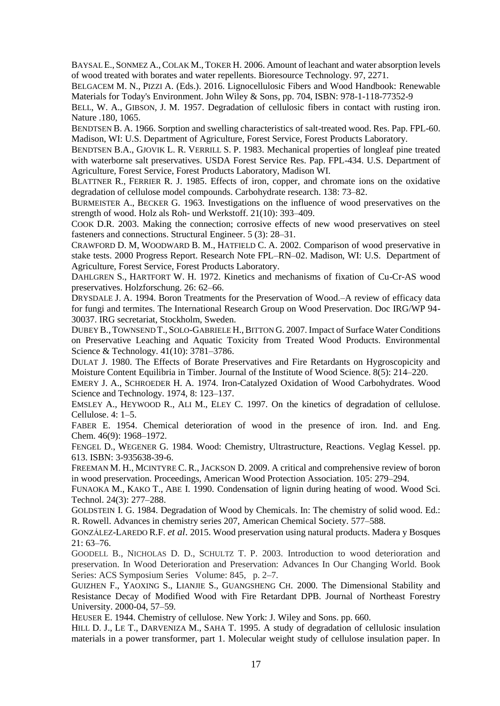BAYSAL E., SONMEZ A.,COLAK M., TOKER H. 2006. Amount of leachant and water absorption levels of wood treated with borates and water repellents. Bioresource Technology. 97, 2271.

BELGACEM M. N., PIZZI A. (Eds.). 2016. Lignocellulosic Fibers and Wood Handbook: Renewable Materials for Today's Environment. John Wiley & Sons, pp. 704, ISBN: 978-1-118-77352-9

BELL, W. A., GIBSON, J. M. 1957. Degradation of cellulosic fibers in contact with rusting iron. Nature .180, 1065.

BENDTSEN B. A. 1966. Sorption and swelling characteristics of salt-treated wood. Res. Pap. FPL-60. Madison, WI: U.S. Department of Agriculture, Forest Service, Forest Products Laboratory.

BENDTSEN B.A., GJOVIK L. R. VERRILL S. P. 1983. Mechanical properties of longleaf pine treated with waterborne salt preservatives. USDA Forest Service Res. Pap. FPL-434. U.S. Department of Agriculture, Forest Service, Forest Products Laboratory, Madison WI.

BLATTNER R., FERRIER R. J. 1985. Effects of iron, copper, and chromate ions on the oxidative degradation of cellulose model compounds. Carbohydrate research. 138: 73–82.

BURMEISTER A., BECKER G. 1963. Investigations on the influence of wood preservatives on the strength of wood. Holz als Roh- und Werkstoff. 21(10): 393–409.

COOK D.R. 2003. Making the connection; corrosive effects of new wood preservatives on steel fasteners and connections. Structural Engineer. 5 (3): 28–31.

CRAWFORD D. M, WOODWARD B. M., HATFIELD C. A. 2002. Comparison of wood preservative in stake tests. 2000 Progress Report. Research Note FPL–RN–02. Madison, WI: U.S. Department of Agriculture, Forest Service, Forest Products Laboratory.

DAHLGREN S., HARTFORT W. H. 1972. Kinetics and mechanisms of fixation of Cu-Cr-AS wood preservatives. Holzforschung. 26: 62–66.

DRYSDALE J. A. 1994. Boron Treatments for the Preservation of Wood.–A review of efficacy data for fungi and termites. The International Research Group on Wood Preservation. Doc IRG/WP 94- 30037. IRG secretariat, Stockholm, Sweden.

DUBEY B.,TOWNSEND T., SOLO-GABRIELE H.,BITTON G. 2007. Impact of Surface Water Conditions on Preservative Leaching and Aquatic Toxicity from Treated Wood Products. Environmental Science & Technology. 41(10): 3781–3786.

DULAT J. 1980. The Effects of Borate Preservatives and Fire Retardants on Hygroscopicity and Moisture Content Equilibria in Timber. Journal of the Institute of Wood Science. 8(5): 214–220.

EMERY J. A., SCHROEDER H. A. 1974. Iron-Catalyzed Oxidation of Wood Carbohydrates. Wood Science and Technology. 1974, 8: 123–137.

EMSLEY A., HEYWOOD R., ALI M., ELEY C. 1997. On the kinetics of degradation of cellulose. Cellulose. 4: 1–5.

FABER E. 1954. Chemical deterioration of wood in the presence of iron. Ind. and Eng. Chem. 46(9): 1968–1972.

FENGEL D., WEGENER G. 1984. Wood: Chemistry, Ultrastructure, Reactions. Veglag Kessel. pp. 613. ISBN: 3-935638-39-6.

FREEMAN M. H., MCINTYRE C. R.,JACKSON D. 2009. A critical and comprehensive review of boron in wood preservation. Proceedings, American Wood Protection Association. 105: 279–294.

FUNAOKA M., KAKO T., ABE I. 1990. Condensation of lignin during heating of wood. Wood Sci. Technol. 24(3): 277–288.

GOLDSTEIN I. G. 1984. Degradation of Wood by Chemicals. In: The chemistry of solid wood. Ed.: R. Rowell. Advances in chemistry series 207, American Chemical Society. 577–588.

GONZÁLEZ-LAREDO R.F. *et al*. 2015. Wood preservation using natural products. Madera y Bosques  $21: 63 - 76.$ 

GOODELL B., NICHOLAS D. D., SCHULTZ T. P. 2003. Introduction to wood deterioration and preservation. In Wood Deterioration and Preservation: Advances In Our Changing World. Book Series: ACS Symposium Series Volume: 845, p. 2–7.

GUIZHEN F., YAOXING S., LIANJIE S., GUANGSHENG CH. 2000. The Dimensional Stability and Resistance Decay of Modified Wood with Fire Retardant DPB. Journal of Northeast Forestry University. 2000-04, 57–59.

HEUSER E. 1944. Chemistry of cellulose. New York: J. Wiley and Sons. pp. 660.

HILL D. J., LE T., DARVENIZA M., SAHA T. 1995. A study of degradation of cellulosic insulation materials in a power transformer, part 1. Molecular weight study of cellulose insulation paper. In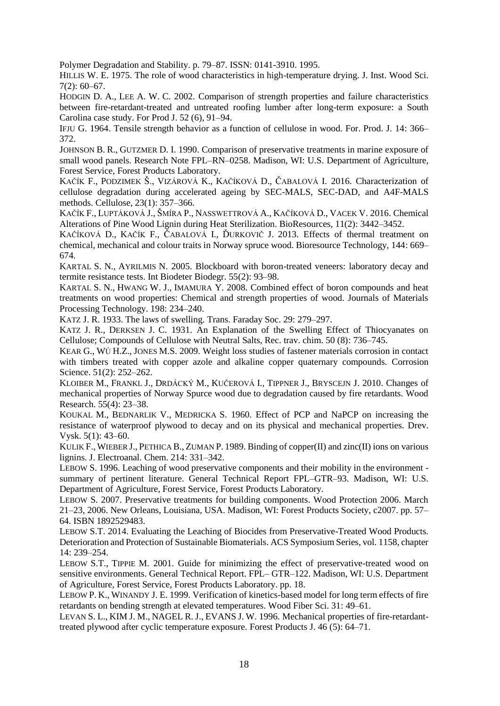Polymer Degradation and Stability. p. 79–87. ISSN: 0141-3910. 1995.

HILLIS W. E. 1975. The role of wood characteristics in high-temperature drying. J. Inst. Wood Sci. 7(2): 60–67.

HODGIN D. A., LEE A. W. C. 2002. Comparison of strength properties and failure characteristics between fire-retardant-treated and untreated roofing lumber after long-term exposure: a South Carolina case study. For Prod J. 52 (6), 91–94.

IFJU G. 1964. Tensile strength behavior as a function of cellulose in wood. For. Prod. J. 14: 366– 372.

JOHNSON B. R., GUTZMER D. I. 1990. Comparison of preservative treatments in marine exposure of small wood panels. Research Note FPL–RN–0258. Madison, WI: U.S. Department of Agriculture, Forest Service, Forest Products Laboratory.

KAČÍK F., PODZIMEK Š., VIZÁROVÁ K., KAČÍKOVÁ D., ČABALOVÁ I. 2016. Characterization of cellulose degradation during accelerated ageing by SEC-MALS, SEC-DAD, and A4F-MALS methods. Cellulose, 23(1): 357–366.

KAČÍK F., LUPTÁKOVÁ J., ŠMÍRA P., NASSWETTROVÁ A., KAČÍKOVÁ D., VACEK V. 2016. Chemical Alterations of Pine Wood Lignin during Heat Sterilization. BioResources, 11(2): 3442–3452.

KAČÍKOVÁ D., KAČÍK F., ČABALOVÁ I., ĎURKOVIČ J. 2013. Effects of thermal treatment on chemical, mechanical and colour traits in Norway spruce wood. Bioresource Technology, 144: 669– 674.

KARTAL S. N., AYRILMIS N. 2005. Blockboard with boron-treated veneers: laboratory decay and termite resistance tests. Int Biodeter Biodegr. 55(2): 93–98.

KARTAL S. N., HWANG W. J., IMAMURA Y. 2008. Combined effect of boron compounds and heat treatments on wood properties: Chemical and strength properties of wood. Journals of Materials Processing Technology. 198: 234–240.

KATZ J. R. 1933. The laws of swelling. Trans. Faraday Soc. 29: 279–297.

KATZ J. R., DERKSEN J. C. 1931. An Explanation of the Swelling Effect of Thiocyanates on Cellulose; Compounds of Cellulose with Neutral Salts, Rec. trav. chim. 50 (8): 736–745.

KEAR G., WÚ H.Z., JONES M.S. 2009. Weight loss studies of fastener materials corrosion in contact with timbers treated with copper azole and alkaline copper quaternary compounds. Corrosion Science. 51(2): 252–262.

KLOIBER M., FRANKL J., DRDÁCKÝ M., KUČEROVÁ I., TIPPNER J., BRYSCEJN J. 2010. Changes of mechanical properties of Norway Spurce wood due to degradation caused by fire retardants. Wood Research. 55(4): 23–38.

KOUKAL M., BEDNARLIK V., MEDRICKA S. 1960. Effect of PCP and NaPCP on increasing the resistance of waterproof plywood to decay and on its physical and mechanical properties. Drev. Vysk. 5(1): 43–60.

KULIK F., WIEBER J., PETHICA B., ZUMAN P. 1989. Binding of copper(II) and zinc(II) ions on various lignins. J. Electroanal. Chem. 214: 331–342.

LEBOW S. 1996. Leaching of wood preservative components and their mobility in the environment summary of pertinent literature. General Technical Report FPL–GTR–93. Madison, WI: U.S. Department of Agriculture, Forest Service, Forest Products Laboratory.

LEBOW S. 2007. Preservative treatments for building components. Wood Protection 2006. March 21–23, 2006. New Orleans, Louisiana, USA. Madison, WI: Forest Products Society, c2007. pp. 57– 64. ISBN 1892529483.

LEBOW S.T. 2014. Evaluating the Leaching of Biocides from Preservative-Treated Wood Products*.* Deterioration and Protection of Sustainable Biomaterials. ACS Symposium Series, vol. 1158, chapter 14: 239–254.

LEBOW S.T., TIPPIE M. 2001. Guide for minimizing the effect of preservative-treated wood on sensitive environments. General Technical Report. FPL– GTR–122. Madison, WI: U.S. Department of Agriculture, Forest Service, Forest Products Laboratory. pp. 18.

LEBOW P. K., WINANDY J. E. 1999. Verification of kinetics-based model for long term effects of fire retardants on bending strength at elevated temperatures. Wood Fiber Sci. 31: 49–61.

LEVAN S. L., KIM J. M., NAGEL R. J., EVANS J. W. 1996. Mechanical properties of fire-retardanttreated plywood after cyclic temperature exposure*.* Forest Products J. 46 (5): 64–71.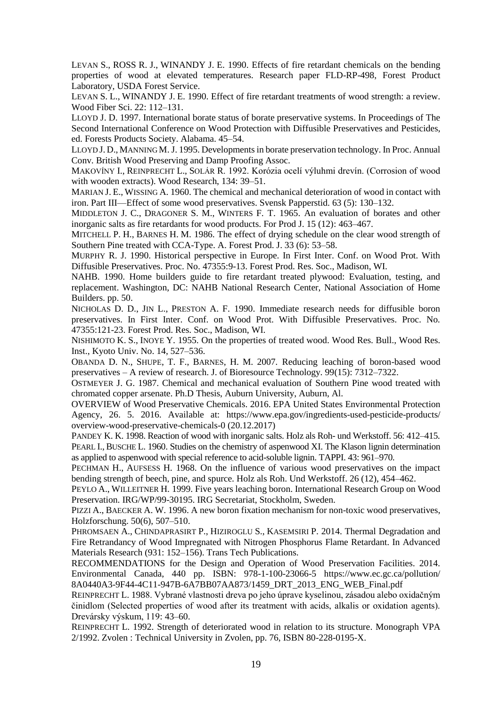LEVAN S., ROSS R. J., WINANDY J. E. 1990. Effects of fire retardant chemicals on the bending properties of wood at elevated temperatures. Research paper FLD-RP-498, Forest Product Laboratory, USDA Forest Service.

LEVAN S. L., WINANDY J. E. 1990. Effect of fire retardant treatments of wood strength: a review. Wood Fiber Sci. 22: 112–131.

LLOYD J. D. 1997. International borate status of borate preservative systems. In Proceedings of The Second International Conference on Wood Protection with Diffusible Preservatives and Pesticides, ed. Forests Products Society. Alabama. 45–54.

LLOYD J. D., MANNING M. J. 1995. Developments in borate preservation technology. In Proc. Annual Conv. British Wood Preserving and Damp Proofing Assoc.

MAKOVÍNY I., REINPRECHT L., SOLÁR R. 1992. Korózia ocelí výluhmi drevín. (Corrosion of wood with wooden extracts). Wood Research, 134: 39–51.

MARIAN J. E., WISSING A. 1960. The chemical and mechanical deterioration of wood in contact with iron. Part III—Effect of some wood preservatives. Svensk Papperstid. 63 (5): 130–132.

MIDDLETON J. C., DRAGONER S. M., WINTERS F. T. 1965. An evaluation of borates and other inorganic salts as fire retardants for wood products. For Prod J. 15 (12): 463–467.

MITCHELL P. H., BARNES H. M. 1986. The effect of drying schedule on the clear wood strength of Southern Pine treated with CCA-Type. A. Forest Prod. J. 33 (6): 53–58.

MURPHY R. J. 1990. Historical perspective in Europe. In First Inter. Conf. on Wood Prot. With Diffusible Preservatives. Proc. No. 47355:9-13. Forest Prod. Res. Soc., Madison, WI.

NAHB. 1990. Home builders guide to fire retardant treated plywood: Evaluation, testing, and replacement. Washington, DC: NAHB National Research Center, National Association of Home Builders. pp. 50.

NICHOLAS D. D., JIN L., PRESTON A. F. 1990. Immediate research needs for diffusible boron preservatives. In First Inter. Conf. on Wood Prot. With Diffusible Preservatives. Proc. No. 47355:121-23. Forest Prod. Res. Soc., Madison, WI.

NISHIMOTO K. S., INOYE Y. 1955. On the properties of treated wood. Wood Res. Bull., Wood Res. Inst., Kyoto Univ. No. 14, 527–536.

OBANDA D. N., SHUPE, T. F., BARNES, H. M. 2007. Reducing leaching of boron-based wood preservatives – A review of research. J. of Bioresource Technology. 99(15): 7312–7322.

OSTMEYER J. G. 1987. Chemical and mechanical evaluation of Southern Pine wood treated with chromated copper arsenate. Ph.D Thesis, Auburn University, Auburn, Al.

OVERVIEW of Wood Preservative Chemicals. 2016. EPA United States Environmental Protection Agency, 26. 5. 2016. Available at: https://www.epa.gov/ingredients-used-pesticide-products/ overview-wood-preservative-chemicals-0 (20.12.2017)

PANDEY K. K. 1998. Reaction of wood with inorganic salts. Holz als Roh- und Werkstoff. 56: 412–415. PEARL I., BUSCHE L. 1960. Studies on the chemistry of aspenwood XI. The Klason lignin determination as applied to aspenwood with special reference to acid-soluble lignin. TAPPI. 43: 961–970.

PECHMAN H., AUFSESS H. 1968. On the influence of various wood preservatives on the impact bending strength of beech, pine, and spurce. Holz als Roh. Und Werkstoff. 26 (12), 454–462.

PEYLO A., WILLEITNER H. 1999. Five years leaching boron. International Research Group on Wood Preservation. IRG/WP/99-30195. IRG Secretariat, Stockholm, Sweden.

PIZZI A., BAECKER A. W. 1996. A new boron fixation mechanism for non-toxic wood preservatives, Holzforschung. 50(6), 507–510.

PHROMSAEN A., CHINDAPRASIRT P., HIZIROGLU S., KASEMSIRI P. 2014. Thermal Degradation and Fire Retrandancy of Wood Impregnated with Nitrogen Phosphorus Flame Retardant. In Advanced Materials Research (931: 152–156). Trans Tech Publications.

RECOMMENDATIONS for the Design and Operation of Wood Preservation Facilities. 2014. Environmental Canada, 440 pp. ISBN: 978-1-100-23066-5 https://www.ec.gc.ca/pollution/ 8A0440A3-9F44-4C11-947B-6A7BB07AA873/1459\_DRT\_2013\_ENG\_WEB\_Final.pdf

REINPRECHT L. 1988. Vybrané vlastnosti dreva po jeho úprave kyselinou, zásadou alebo oxidačným činidlom (Selected properties of wood after its treatment with acids, alkalis or oxidation agents). Drevársky výskum, 119: 43–60.

REINPRECHT L. 1992. Strength of deteriorated wood in relation to its structure. Monograph VPA 2/1992. Zvolen : Technical University in Zvolen, pp. 76, ISBN 80-228-0195-X.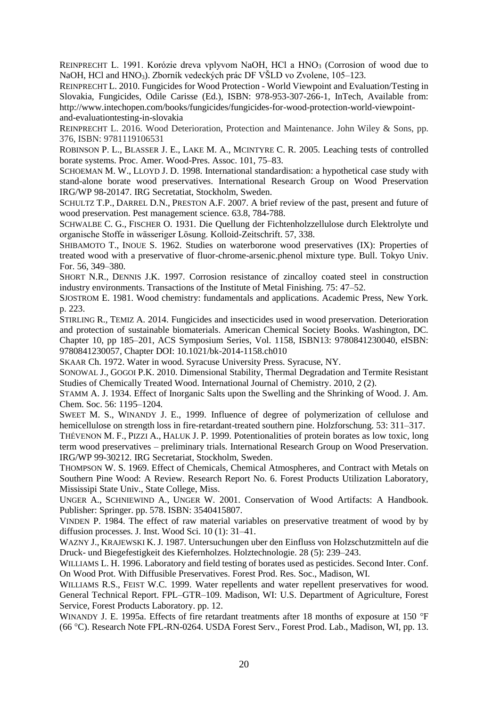REINPRECHT L. 1991. Korózie dreva vplyvom NaOH, HCl a HNO<sub>3</sub> (Corrosion of wood due to NaOH, HCl and HNO<sub>3</sub>). Zborník vedeckých prác DF VŠLD vo Zvolene, 105–123.

REINPRECHT L. 2010. Fungicides for Wood Protection - World Viewpoint and Evaluation/Testing in Slovakia, Fungicides, Odile Carisse (Ed.), ISBN: 978-953-307-266-1, InTech, Available from: http://www.intechopen.com/books/fungicides/fungicides-for-wood-protection-world-viewpointand-evaluationtesting-in-slovakia

REINPRECHT L. 2016. Wood Deterioration, Protection and Maintenance. John Wiley & Sons, pp. 376, ISBN: 9781119106531

ROBINSON P. L., BLASSER J. E., LAKE M. A., MCINTYRE C. R. 2005. Leaching tests of controlled borate systems. Proc. Amer. Wood-Pres. Assoc. 101, 75–83.

SCHOEMAN M. W., LLOYD J. D. 1998. International standardisation: a hypothetical case study with stand-alone borate wood preservatives. International Research Group on Wood Preservation IRG/WP 98-20147. IRG Secretatiat, Stockholm, Sweden.

SCHULTZ T.P., DARREL D.N., PRESTON A.F. 2007. A brief review of the past, present and future of wood preservation. Pest management science. 63.8, 784-788.

SCHWALBE C. G., FISCHER O. 1931. Die Quellung der Fichtenholzzellulose durch Elektrolyte und organische Stoffe in wässeriger Lösung. Kolloid-Zeitschrift. 57, 338.

SHIBAMOTO T., INOUE S. 1962. Studies on waterborone wood preservatives (IX): Properties of treated wood with a preservative of fluor-chrome-arsenic.phenol mixture type. Bull. Tokyo Univ. For. 56, 349–380.

SHORT N.R., DENNIS J.K. 1997. Corrosion resistance of zincalloy coated steel in construction industry environments. Transactions of the Institute of Metal Finishing. 75: 47–52.

SJOSTROM E. 1981. Wood chemistry: fundamentals and applications. Academic Press, New York. p. 223.

STIRLING R., TEMIZ A. 2014. Fungicides and insecticides used in wood preservation. Deterioration and protection of sustainable biomaterials. American Chemical Society Books. Washington, DC. Chapter 10, pp 185–201, ACS Symposium Series, Vol. 1158, ISBN13: 9780841230040, eISBN: 9780841230057, Chapter DOI: 10.1021/bk-2014-1158.ch010

SKAAR Ch. 1972. Water in wood. Syracuse University Press. Syracuse, NY.

SONOWAL J., GOGOI P.K. 2010. Dimensional Stability, Thermal Degradation and Termite Resistant Studies of Chemically Treated Wood. International Journal of Chemistry. 2010, 2 (2).

STAMM A. J. 1934. Effect of Inorganic Salts upon the Swelling and the Shrinking of Wood. J. Am. Chem. Soc. 56: 1195–1204.

SWEET M. S., WINANDY J. E., 1999. Influence of degree of polymerization of cellulose and hemicellulose on strength loss in fire-retardant-treated southern pine. Holzforschung. 53: 311–317.

THÉVENON M. F., PIZZI A., HALUK J. P. 1999. Potentionalities of protein borates as low toxic, long term wood preservatives – preliminary trials. International Research Group on Wood Preservation. IRG/WP 99-30212. IRG Secretariat, Stockholm, Sweden.

THOMPSON W. S. 1969. Effect of Chemicals, Chemical Atmospheres, and Contract with Metals on Southern Pine Wood: A Review. Research Report No. 6. Forest Products Utilization Laboratory, Mississipi State Univ., State College, Miss.

UNGER A., SCHNIEWIND A., UNGER W. 2001. Conservation of Wood Artifacts: A Handbook. Publisher: Springer. pp. 578. ISBN: 3540415807.

VINDEN P. 1984. The effect of raw material variables on preservative treatment of wood by by diffusion processes. J. Inst. Wood Sci. 10 (1): 31–41.

WAZNY J., KRAJEWSKI K.J. 1987. Untersuchungen uber den Einfluss von Holzschutzmitteln auf die Druck- und Biegefestigkeit des Kiefernholzes. Holztechnologie. 28 (5): 239–243.

WILLIAMS L. H. 1996. Laboratory and field testing of borates used as pesticides. Second Inter. Conf. On Wood Prot. With Diffusible Preservatives. Forest Prod. Res. Soc., Madison, WI.

WILLIAMS R.S., FEIST W.C. 1999. Water repellents and water repellent preservatives for wood. General Technical Report. FPL–GTR–109. Madison, WI: U.S. Department of Agriculture, Forest Service, Forest Products Laboratory. pp. 12.

WINANDY J. E. 1995a. Effects of fire retardant treatments after 18 months of exposure at 150 °F (66 °C). Research Note FPL-RN-0264. USDA Forest Serv., Forest Prod. Lab., Madison, WI, pp. 13.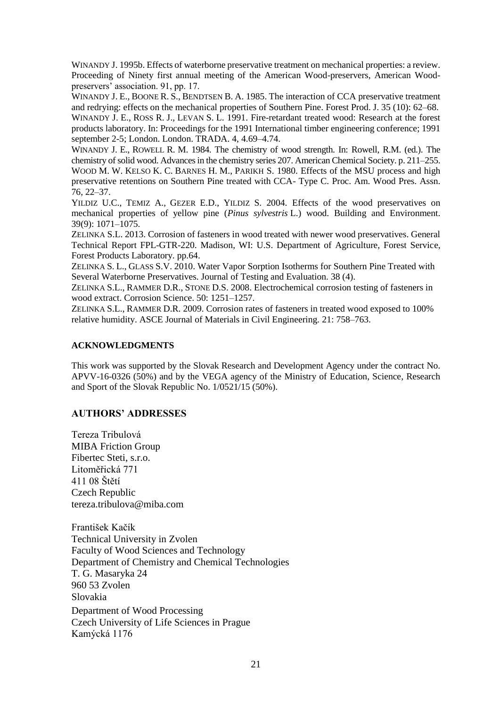WINANDY J. 1995b. Effects of waterborne preservative treatment on mechanical properties: a review. Proceeding of Ninety first annual meeting of the American Wood-preservers, American Woodpreservers' association. 91, pp. 17.

WINANDY J. E., BOONE R. S., BENDTSEN B. A. 1985. The interaction of CCA preservative treatment and redrying: effects on the mechanical properties of Southern Pine. Forest Prod. J. 35 (10): 62–68.

WINANDY J. E., ROSS R. J., LEVAN S. L. 1991. Fire-retardant treated wood: Research at the forest products laboratory. In: Proceedings for the 1991 International timber engineering conference; 1991 september 2-5; London. London. TRADA. 4, 4.69–4.74.

WINANDY J. E., ROWELL R. M. 1984. The chemistry of wood strength. In: Rowell, R.M. (ed.). The chemistry of solid wood. Advances in the chemistry series 207. American Chemical Society. p. 211–255. WOOD M. W. KELSO K. C. BARNES H. M., PARIKH S. 1980. Effects of the MSU process and high preservative retentions on Southern Pine treated with CCA- Type C. Proc. Am. Wood Pres. Assn. 76, 22–37.

YILDIZ U.C., TEMIZ A., GEZER E.D., YILDIZ S. 2004. Effects of the wood preservatives on mechanical properties of yellow pine (*Pinus sylvestris* L.) wood. Building and Environment. 39(9): 1071–1075.

ZELINKA S.L. 2013. Corrosion of fasteners in wood treated with newer wood preservatives. General Technical Report FPL-GTR-220. Madison, WI: U.S. Department of Agriculture, Forest Service, Forest Products Laboratory. pp.64.

ZELINKA S. L., GLASS S.V. 2010. Water Vapor Sorption Isotherms for Southern Pine Treated with Several Waterborne Preservatives. Journal of Testing and Evaluation. 38 (4).

ZELINKA S.L., RAMMER D.R., STONE D.S. 2008. Electrochemical corrosion testing of fasteners in wood extract. Corrosion Science. 50: 1251–1257.

ZELINKA S.L., RAMMER D.R. 2009. Corrosion rates of fasteners in treated wood exposed to 100% relative humidity. ASCE Journal of Materials in Civil Engineering. 21: 758–763.

## **ACKNOWLEDGMENTS**

This work was supported by the Slovak Research and Development Agency under the contract No. APVV-16-0326 (50%) and by the VEGA agency of the Ministry of Education, Science, Research and Sport of the Slovak Republic No. 1/0521/15 (50%).

# **AUTHORS' ADDRESSES**

Tereza Tribulová MIBA Friction Group Fibertec Steti, s.r.o. Litoměřická 771 411 08 Štětí Czech Republic tereza.tribulova@miba.com

František Kačík Technical University in Zvolen Faculty of Wood Sciences and Technology Department of Chemistry and Chemical Technologies T. G. Masaryka 24 960 53 Zvolen Slovakia Department of Wood Processing Czech University of Life Sciences in Prague Kamýcká 1176